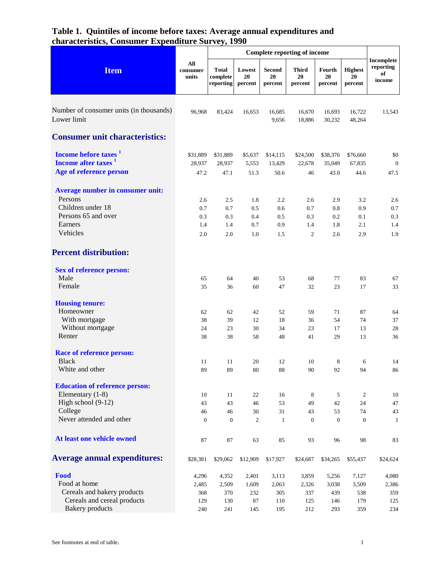| <b>Item</b>                                                         | All<br>consumer<br>units | <b>Total</b><br>complete<br>reporting | Lowest<br>20<br>percent | <b>Second</b><br>20<br>percent | <b>Third</b><br>20<br>percent | Fourth<br>20<br>percent | <b>Highest</b><br>20<br>percent | Incomplete<br>reporting<br>of<br>income |
|---------------------------------------------------------------------|--------------------------|---------------------------------------|-------------------------|--------------------------------|-------------------------------|-------------------------|---------------------------------|-----------------------------------------|
| Number of consumer units (in thousands)<br>Lower limit              | 96,968                   | 83,424                                | 16,653                  | 16,685<br>9,656                | 16,670<br>18,886              | 16,693<br>30,232        | 16,722<br>48,264                | 13,543                                  |
| <b>Consumer unit characteristics:</b>                               |                          |                                       |                         |                                |                               |                         |                                 |                                         |
| Income before taxes <sup>1</sup><br>Income after taxes <sup>1</sup> | \$31,889<br>28,937       | \$31,889<br>28,937                    | \$5,637<br>5,553        | \$14,115<br>13,429             | \$24,500<br>22,678            | \$38,376<br>35,049      | \$76,660<br>67,835              | \$0<br>$\mathbf{0}$                     |
| Age of reference person                                             | 47.2                     | 47.1                                  | 51.3                    | 50.6                           | 46                            | 43.0                    | 44.6                            | 47.5                                    |
| <b>Average number in consumer unit:</b><br>Persons                  | 2.6                      | 2.5                                   | 1.8                     | 2.2                            | 2.6                           | 2.9                     | 3.2                             | 2.6                                     |
| Children under 18                                                   | 0.7                      | 0.7                                   | 0.5                     | 0.6                            | 0.7                           | 0.8                     | 0.9                             | 0.7                                     |
| Persons 65 and over                                                 | 0.3                      | 0.3                                   | 0.4                     | 0.5                            | 0.3                           | 0.2                     | $0.1\,$                         | 0.3                                     |
| Earners<br>Vehicles                                                 | 1.4<br>2.0               | 1.4<br>2.0                            | 0.7<br>1.0              | 0.9<br>1.5                     | 1.4<br>$\mathfrak{2}$         | 1.8<br>2.6              | 2.1<br>2.9                      | 1.4<br>1.9                              |
| <b>Percent distribution:</b>                                        |                          |                                       |                         |                                |                               |                         |                                 |                                         |
| <b>Sex of reference person:</b>                                     |                          |                                       |                         |                                |                               |                         |                                 |                                         |
| Male<br>Female                                                      | 65<br>35                 | 64<br>36                              | 40<br>60                | 53<br>47                       | 68<br>32                      | 77<br>23                | 83<br>17                        | 67<br>33                                |
|                                                                     |                          |                                       |                         |                                |                               |                         |                                 |                                         |
| <b>Housing tenure:</b>                                              |                          |                                       |                         |                                |                               |                         |                                 |                                         |
| Homeowner                                                           | 62                       | 62                                    | 42                      | 52                             | 59                            | 71                      | 87                              | 64                                      |
| With mortgage                                                       | 38                       | 39                                    | 12                      | 18                             | 36                            | 54                      | 74                              | 37                                      |
| Without mortgage                                                    | 24                       | 23                                    | 30                      | 34                             | 23                            | 17                      | 13                              | 28                                      |
| Renter                                                              | 38                       | 38                                    | 58                      | 48                             | 41                            | 29                      | 13                              | 36                                      |
| <b>Race of reference person:</b>                                    |                          |                                       |                         |                                |                               |                         |                                 |                                         |
| <b>Black</b>                                                        | 11                       | 11                                    | 20                      | 12                             | 10                            | 8                       | 6                               | 14                                      |
| White and other                                                     | 89                       | 89                                    | 80                      | 88                             | 90                            | 92                      | 94                              | 86                                      |
| <b>Education of reference person:</b>                               |                          |                                       |                         |                                |                               |                         |                                 |                                         |
| Elementary (1-8)                                                    | 10                       | 11                                    | 22                      | 16                             | 8                             | 5                       | 2                               | 10                                      |
| High school (9-12)                                                  | 43                       | 43                                    | 46                      | 53                             | 49                            | 42                      | 24                              | 47                                      |
| College                                                             | 46                       | 46                                    | 30                      | 31                             | 43                            | 53                      | 74                              | 43                                      |
| Never attended and other                                            | $\overline{0}$           | $\overline{0}$                        | $\mathfrak{2}$          | $\mathbf{1}$                   | $\boldsymbol{0}$              | $\theta$                | $\mathbf{0}$                    | 1                                       |
| At least one vehicle owned                                          | 87                       | 87                                    | 63                      | 85                             | 93                            | 96                      | 98                              | 83                                      |
| <b>Average annual expenditures:</b>                                 | \$28,381                 | \$29,062                              | \$12,909                | \$17,927                       | \$24,687                      | \$34,265                | \$55,437                        | \$24,624                                |
| Food                                                                | 4,296                    | 4,352                                 | 2,401                   | 3,113                          | 3,859                         | 5,256                   | 7,127                           | 4,080                                   |
| Food at home                                                        | 2,485                    | 2,509                                 | 1,609                   | 2,063                          | 2,326                         | 3,038                   | 3,509                           | 2,386                                   |
| Cereals and bakery products                                         | 368                      | 370                                   | 232                     | 305                            | 337                           | 439                     | 538                             | 359                                     |
| Cereals and cereal products                                         | 129                      | 130                                   | 87                      | 110                            | 125                           | 146                     | 179                             | 125                                     |
| <b>Bakery</b> products                                              | 240                      | 241                                   | 145                     | 195                            | 212                           | 293                     | 359                             | 234                                     |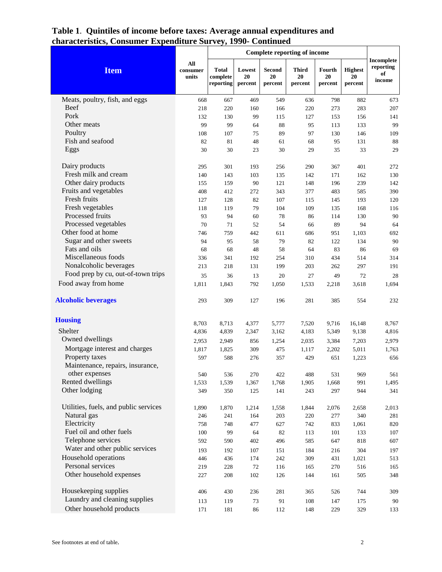| <b>Item</b>                           | All<br>consumer<br>units | <b>Total</b><br>complete<br>reporting | Lowest<br>20<br>percent | <b>Second</b><br>20<br>percent | <b>Third</b><br>20<br>percent | Fourth<br>20<br>percent | <b>Highest</b><br>20<br>percent | Incomplete<br>reporting<br>of<br>income |
|---------------------------------------|--------------------------|---------------------------------------|-------------------------|--------------------------------|-------------------------------|-------------------------|---------------------------------|-----------------------------------------|
| Meats, poultry, fish, and eggs        | 668                      | 667                                   | 469                     | 549                            | 636                           | 798                     | 882                             | 673                                     |
| Beef                                  | 218                      | 220                                   | 160                     | 166                            | 220                           | 273                     | 283                             | 207                                     |
| Pork                                  | 132                      | 130                                   | 99                      | 115                            | 127                           | 153                     | 156                             | 141                                     |
| Other meats                           | 99                       | 99                                    | 64                      | $88\,$                         | 95                            | 113                     | 133                             | 99                                      |
| Poultry                               | 108                      | 107                                   | 75                      | 89                             | 97                            | 130                     | 146                             | 109                                     |
| Fish and seafood                      | 82                       | 81                                    | 48                      | 61                             | 68                            | 95                      | 131                             | 88                                      |
| Eggs                                  | 30                       | 30                                    | 23                      | 30                             | 29                            | 35                      | 33                              | 29                                      |
| Dairy products                        | 295                      | 301                                   | 193                     | 256                            | 290                           | 367                     | 401                             | 272                                     |
| Fresh milk and cream                  | 140                      | 143                                   | 103                     | 135                            | 142                           | 171                     | 162                             | 130                                     |
| Other dairy products                  | 155                      | 159                                   | 90                      | 121                            | 148                           | 196                     | 239                             | 142                                     |
| Fruits and vegetables                 | 408                      | 412                                   | 272                     | 343                            | 377                           | 483                     | 585                             | 390                                     |
| Fresh fruits                          | 127                      | 128                                   | 82                      | 107                            | 115                           | 145                     | 193                             | 120                                     |
| Fresh vegetables                      | 118                      | 119                                   | 79                      | 104                            | 109                           | 135                     | 168                             | 116                                     |
| Processed fruits                      | 93                       | 94                                    | 60                      | 78                             | 86                            | 114                     | 130                             | 90                                      |
| Processed vegetables                  | 70                       | 71                                    | 52                      | 54                             | 66                            | 89                      | 94                              | 64                                      |
| Other food at home                    | 746                      | 759                                   | 442                     | 611                            | 686                           | 951                     | 1,103                           | 692                                     |
| Sugar and other sweets                | 94                       | 95                                    | 58                      | 79                             | 82                            | 122                     | 134                             | 90                                      |
| Fats and oils                         | 68                       | 68                                    | 48                      | 58                             | 64                            | 83                      | 86                              | 69                                      |
| Miscellaneous foods                   | 336                      | 341                                   | 192                     | 254                            | 310                           | 434                     | 514                             | 314                                     |
| Nonalcoholic beverages                | 213                      | 218                                   | 131                     | 199                            | 203                           | 262                     | 297                             | 191                                     |
| Food prep by cu, out-of-town trips    | 35                       | 36                                    | 13                      | 20                             | 27                            | 49                      | 72                              | 28                                      |
| Food away from home                   | 1,811                    | 1,843                                 | 792                     | 1,050                          | 1,533                         | 2,218                   | 3,618                           | 1,694                                   |
| <b>Alcoholic beverages</b>            | 293                      | 309                                   | 127                     | 196                            | 281                           | 385                     | 554                             | 232                                     |
| <b>Housing</b>                        | 8,703                    | 8,713                                 | 4,377                   | 5,777                          | 7,520                         | 9,716                   | 16,148                          | 8,767                                   |
| Shelter                               | 4,836                    | 4,839                                 | 2,347                   | 3,162                          | 4,183                         | 5,349                   | 9,138                           | 4,816                                   |
| Owned dwellings                       | 2,953                    | 2,949                                 | 856                     | 1,254                          | 2,035                         | 3,384                   | 7,203                           | 2,979                                   |
| Mortgage interest and charges         | 1,817                    | 1,825                                 | 309                     | 475                            | 1,117                         | 2,202                   | 5,011                           | 1,763                                   |
| Property taxes                        | 597                      | 588                                   | 276                     | 357                            | 429                           | 651                     | 1,223                           | 656                                     |
| Maintenance, repairs, insurance,      |                          |                                       |                         |                                |                               |                         |                                 |                                         |
| other expenses                        | 540                      | 536                                   | 270                     | 422                            | 488                           | 531                     | 969                             | 561                                     |
| Rented dwellings                      | 1,533                    | 1,539                                 | 1,367                   | 1,768                          | 1,905                         | 1,668                   | 991                             | 1,495                                   |
| Other lodging                         | 349                      | 350                                   | 125                     | 141                            | 243                           | 297                     | 944                             | 341                                     |
| Utilities, fuels, and public services | 1,890                    | 1,870                                 | 1,214                   | 1,558                          | 1,844                         | 2,076                   | 2,658                           | 2,013                                   |
| Natural gas                           | 246                      | 241                                   | 164                     | 203                            | 220                           | 277                     | 340                             | 281                                     |
| Electricity                           | 758                      | 748                                   | 477                     | 627                            | 742                           | 833                     | 1,061                           | 820                                     |
| Fuel oil and other fuels              | 100                      | 99                                    | 64                      | 82                             | 113                           | 101                     | 133                             | 107                                     |
| Telephone services                    | 592                      | 590                                   | 402                     | 496                            | 585                           | 647                     | 818                             | 607                                     |
| Water and other public services       | 193                      | 192                                   | 107                     | 151                            | 184                           | 216                     | 304                             | 197                                     |
| Household operations                  | 446                      | 436                                   | 174                     | 242                            | 309                           | 431                     | 1,021                           | 513                                     |
| Personal services                     | 219                      | 228                                   | 72                      | 116                            | 165                           | 270                     | 516                             | 165                                     |
| Other household expenses              | 227                      | 208                                   | 102                     | 126                            | 144                           | 161                     | 505                             | 348                                     |
| Housekeeping supplies                 | 406                      | 430                                   | 236                     | 281                            | 365                           | 526                     | 744                             | 309                                     |
| Laundry and cleaning supplies         | 113                      | 119                                   | 73                      | 91                             | 108                           | 147                     | 175                             | 90                                      |
| Other household products              | 171                      | 181                                   | 86                      | 112                            | 148                           | 229                     | 329                             | 133                                     |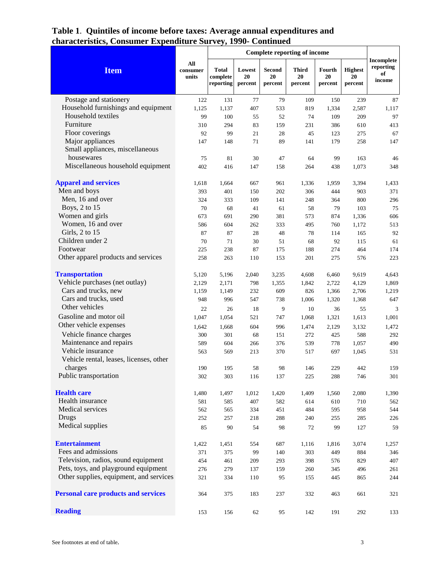|                                                                             |                          | <b>Complete reporting of income</b>   |                         |                                |                               |                         |                                 |                                         |
|-----------------------------------------------------------------------------|--------------------------|---------------------------------------|-------------------------|--------------------------------|-------------------------------|-------------------------|---------------------------------|-----------------------------------------|
| <b>Item</b>                                                                 | All<br>consumer<br>units | <b>Total</b><br>complete<br>reporting | Lowest<br>20<br>percent | <b>Second</b><br>20<br>percent | <b>Third</b><br>20<br>percent | Fourth<br>20<br>percent | <b>Highest</b><br>20<br>percent | Incomplete<br>reporting<br>of<br>income |
| Postage and stationery                                                      | 122                      | 131                                   | 77                      | 79                             | 109                           | 150                     | 239                             | 87                                      |
| Household furnishings and equipment                                         | 1,125                    | 1,137                                 | 407                     | 533                            | 819                           | 1,334                   | 2,587                           | 1,117                                   |
| Household textiles                                                          | 99                       | 100                                   | 55                      | 52                             | 74                            | 109                     | 209                             | 97                                      |
| Furniture                                                                   | 310                      | 294                                   | 83                      | 159                            | 231                           | 386                     | 610                             | 413                                     |
| Floor coverings                                                             | 92                       | 99                                    | 21                      | 28                             | 45                            | 123                     | 275                             | 67                                      |
| Major appliances<br>Small appliances, miscellaneous                         | 147                      | 148                                   | 71                      | 89                             | 141                           | 179                     | 258                             | 147                                     |
| housewares                                                                  | 75                       | 81                                    | 30                      | 47                             | 64                            | 99                      | 163                             | 46                                      |
| Miscellaneous household equipment                                           | 402                      | 416                                   | 147                     | 158                            | 264                           | 438                     | 1,073                           | 348                                     |
| <b>Apparel and services</b>                                                 | 1,618                    | 1,664                                 | 667                     | 961                            | 1,336                         | 1,959                   | 3,394                           | 1,433                                   |
| Men and boys                                                                | 393                      | 401                                   | 150                     | 202                            | 306                           | 444                     | 903                             | 371                                     |
| Men, 16 and over                                                            | 324                      | 333                                   | 109                     | 141                            | 248                           | 364                     | 800                             | 296                                     |
| Boys, 2 to 15                                                               | 70                       | 68                                    | 41                      | 61                             | 58                            | 79                      | 103                             | 75                                      |
| Women and girls                                                             | 673                      | 691                                   | 290                     | 381                            | 573                           | 874                     | 1,336                           | 606                                     |
| Women, 16 and over                                                          | 586                      | 604                                   | 262                     | 333                            | 495                           | 760                     | 1,172                           | 513                                     |
| Girls, 2 to 15                                                              | 87                       | 87                                    | 28                      | 48                             | 78                            | 114                     | 165                             | 92                                      |
| Children under 2                                                            | 70                       | 71                                    | 30                      | 51                             | 68                            | 92                      | 115                             | 61                                      |
| Footwear                                                                    | 225                      | 238                                   | 87                      | 175                            | 188                           | 274                     | 464                             | 174                                     |
| Other apparel products and services                                         | 258                      | 263                                   | 110                     | 153                            | 201                           | 275                     | 576                             | 223                                     |
| <b>Transportation</b>                                                       | 5,120                    | 5,196                                 | 2,040                   | 3,235                          | 4,608                         | 6,460                   | 9,619                           | 4,643                                   |
| Vehicle purchases (net outlay)                                              | 2,129                    | 2,171                                 | 798                     | 1,355                          | 1,842                         | 2,722                   | 4,129                           | 1,869                                   |
| Cars and trucks, new                                                        | 1,159                    | 1,149                                 | 232                     | 609                            | 826                           | 1,366                   | 2,706                           | 1,219                                   |
| Cars and trucks, used                                                       | 948                      | 996                                   | 547                     | 738                            | 1,006                         | 1,320                   | 1,368                           | 647                                     |
| Other vehicles                                                              | 22                       | 26                                    | 18                      | 9                              | 10                            | 36                      | 55                              | 3                                       |
| Gasoline and motor oil                                                      | 1,047                    | 1,054                                 | 521                     | 747                            | 1,068                         | 1,321                   | 1,613                           | 1,001                                   |
| Other vehicle expenses                                                      | 1,642                    | 1,668                                 | 604                     | 996                            | 1,474                         | 2,129                   | 3,132                           | 1,472                                   |
| Vehicle finance charges                                                     | 300                      | 301                                   | 68                      | 151                            | 272                           | 425                     | 588                             | 292                                     |
| Maintenance and repairs                                                     | 589                      | 604                                   | 266                     | 376                            | 539                           | 778                     | 1,057                           | 490                                     |
| Vehicle insurance                                                           | 563                      | 569                                   | 213                     | 370                            | 517                           | 697                     | 1,045                           | 531                                     |
| Vehicle rental, leases, licenses, other                                     |                          |                                       |                         |                                |                               |                         |                                 |                                         |
| charges                                                                     | 190                      | 195                                   | 58                      | 98                             | 146                           | 229                     | 442                             | 159                                     |
| Public transportation                                                       | 302                      | 303                                   | 116                     | 137                            | 225                           | 288                     | 746                             | 301                                     |
| <b>Health care</b>                                                          | 1,480                    | 1,497                                 | 1,012                   | 1,420                          | 1,409                         | 1,560                   | 2,080                           | 1,390                                   |
| Health insurance                                                            | 581                      | 585                                   | 407                     | 582                            | 614                           | 610                     | 710                             | 562                                     |
| Medical services                                                            | 562                      | 565                                   | 334                     | 451                            | 484                           | 595                     | 958                             | 544                                     |
| <b>Drugs</b>                                                                | 252                      | 257                                   | 218                     | 288                            | 240                           | 255                     | 285                             | 226                                     |
| Medical supplies                                                            | 85                       | 90                                    | 54                      | 98                             | 72                            | 99                      | 127                             | 59                                      |
| <b>Entertainment</b>                                                        | 1,422                    | 1,451                                 | 554                     | 687                            | 1,116                         | 1,816                   | 3,074                           | 1,257                                   |
| Fees and admissions                                                         | 371                      | 375                                   | 99                      | 140                            | 303                           | 449                     | 884                             | 346                                     |
| Television, radios, sound equipment<br>Pets, toys, and playground equipment | 454                      | 461                                   | 209                     | 293                            | 398                           | 576                     | 829                             | 407                                     |
|                                                                             | 276                      | 279                                   | 137                     | 159                            | 260                           | 345                     | 496                             | 261                                     |
| Other supplies, equipment, and services                                     | 321                      | 334                                   | 110                     | 95                             | 155                           | 445                     | 865                             | 244                                     |
| <b>Personal care products and services</b>                                  | 364                      | 375                                   | 183                     | 237                            | 332                           | 463                     | 661                             | 321                                     |
| <b>Reading</b>                                                              | 153                      | 156                                   | 62                      | 95                             | 142                           | 191                     | 292                             | 133                                     |
|                                                                             |                          |                                       |                         |                                |                               |                         |                                 |                                         |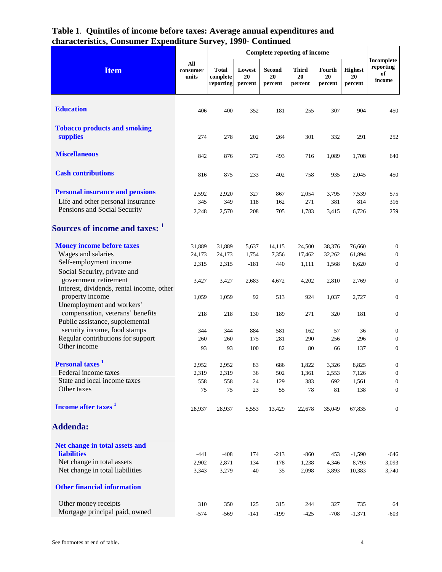| <b>Item</b>                                                                                                                                                 | All<br>consumer<br>units           | <b>Total</b><br>complete<br>reporting | Lowest<br>20<br>percent           | <b>Second</b><br>20<br>percent  | <b>Third</b><br>20<br>percent      | Fourth<br>20<br>percent            | <b>Highest</b><br>20<br>percent    | Incomplete<br>reporting<br>of<br>income                                  |
|-------------------------------------------------------------------------------------------------------------------------------------------------------------|------------------------------------|---------------------------------------|-----------------------------------|---------------------------------|------------------------------------|------------------------------------|------------------------------------|--------------------------------------------------------------------------|
| <b>Education</b>                                                                                                                                            | 406                                | 400                                   | 352                               | 181                             | 255                                | 307                                | 904                                | 450                                                                      |
| <b>Tobacco products and smoking</b><br>supplies                                                                                                             | 274                                | 278                                   | 202                               | 264                             | 301                                | 332                                | 291                                | 252                                                                      |
| <b>Miscellaneous</b>                                                                                                                                        | 842                                | 876                                   | 372                               | 493                             | 716                                | 1,089                              | 1,708                              | 640                                                                      |
| <b>Cash contributions</b>                                                                                                                                   | 816                                | 875                                   | 233                               | 402                             | 758                                | 935                                | 2,045                              | 450                                                                      |
| <b>Personal insurance and pensions</b><br>Life and other personal insurance<br>Pensions and Social Security                                                 | 2,592<br>345<br>2,248              | 2,920<br>349<br>2,570                 | 327<br>118<br>208                 | 867<br>162<br>705               | 2,054<br>271<br>1,783              | 3,795<br>381<br>3,415              | 7,539<br>814<br>6,726              | 575<br>316<br>259                                                        |
| Sources of income and taxes: 1                                                                                                                              |                                    |                                       |                                   |                                 |                                    |                                    |                                    |                                                                          |
| <b>Money income before taxes</b><br>Wages and salaries<br>Self-employment income<br>Social Security, private and<br>government retirement                   | 31,889<br>24,173<br>2,315<br>3,427 | 31,889<br>24,173<br>2,315<br>3,427    | 5,637<br>1,754<br>$-181$<br>2,683 | 14,115<br>7,356<br>440<br>4,672 | 24,500<br>17,462<br>1,111<br>4,202 | 38,376<br>32,262<br>1,568<br>2,810 | 76,660<br>61,894<br>8,620<br>2,769 | $\boldsymbol{0}$<br>$\mathbf{0}$<br>$\boldsymbol{0}$<br>$\boldsymbol{0}$ |
| Interest, dividends, rental income, other<br>property income<br>Unemployment and workers'                                                                   | 1,059                              | 1,059                                 | 92                                | 513                             | 924                                | 1,037                              | 2,727                              | $\boldsymbol{0}$                                                         |
| compensation, veterans' benefits<br>Public assistance, supplemental<br>security income, food stamps                                                         | 218<br>344                         | 218<br>344                            | 130<br>884                        | 189<br>581                      | 271<br>162                         | 320<br>57                          | 181<br>36                          | $\boldsymbol{0}$<br>$\mathbf{0}$                                         |
| Regular contributions for support<br>Other income                                                                                                           | 260<br>93                          | 260<br>93                             | 175<br>100                        | 281<br>82                       | 290<br>80                          | 256<br>66                          | 296<br>137                         | $\mathbf{0}$<br>$\boldsymbol{0}$                                         |
| Personal taxes <sup>1</sup><br>Federal income taxes<br>State and local income taxes<br>Other taxes                                                          | 2,952<br>2,319<br>558<br>75        | 2,952<br>2,319<br>558<br>75           | 83<br>36<br>24<br>23              | 686<br>502<br>129<br>55         | 1,822<br>1,361<br>383<br>78        | 3,326<br>2,553<br>692<br>$81\,$    | 8,825<br>7,126<br>1,561<br>138     | $\boldsymbol{0}$<br>$\boldsymbol{0}$<br>$\boldsymbol{0}$<br>$\mathbf{0}$ |
| Income after taxes <sup>1</sup>                                                                                                                             | 28,937                             | 28,937                                | 5,553                             | 13,429                          | 22,678                             | 35,049                             | 67,835                             | $\boldsymbol{0}$                                                         |
| <b>Addenda:</b>                                                                                                                                             |                                    |                                       |                                   |                                 |                                    |                                    |                                    |                                                                          |
| Net change in total assets and<br><b>liabilities</b><br>Net change in total assets<br>Net change in total liabilities<br><b>Other financial information</b> | $-441$<br>2,902<br>3,343           | $-408$<br>2,871<br>3,279              | 174<br>134<br>$-40$               | $-213$<br>$-178$<br>35          | $-860$<br>1,238<br>2,098           | 453<br>4,346<br>3,893              | $-1,590$<br>8,793<br>10,383        | -646<br>3,093<br>3,740                                                   |
| Other money receipts<br>Mortgage principal paid, owned                                                                                                      | 310<br>$-574$                      | 350<br>$-569$                         | 125<br>$-141$                     | 315<br>$-199$                   | 244<br>$-425$                      | 327<br>$-708$                      | 735<br>$-1,371$                    | 64<br>$-603$                                                             |